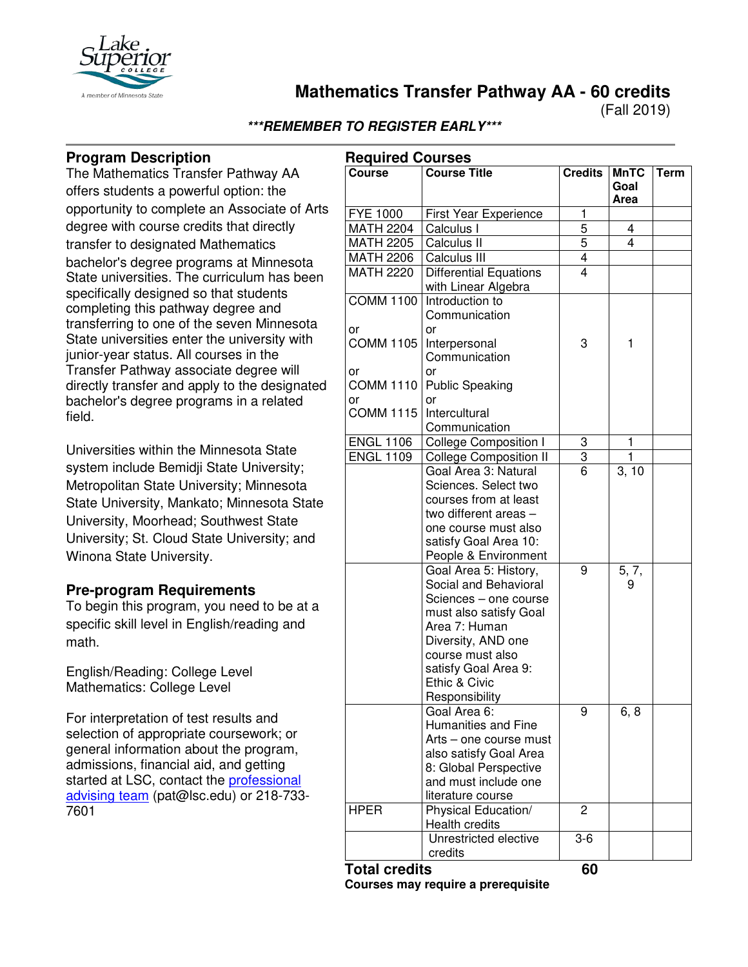

**Mathematics Transfer Pathway AA - 60 credits**

(Fall 2019)

# **\*\*\*REMEMBER TO REGISTER EARLY\*\*\***

# **Program Description**

The Mathematics Transfer Pathway AA offers students a powerful option: the opportunity to complete an Associate of Arts degree with course credits that directly transfer to designated Mathematics bachelor's degree programs at Minnesota State universities. The curriculum has been specifically designed so that students completing this pathway degree and transferring to one of the seven Minnesota State universities enter the university with junior-year status. All courses in the Transfer Pathway associate degree will directly transfer and apply to the designated bachelor's degree programs in a related field.

Universities within the Minnesota State system include Bemidji State University; Metropolitan State University; Minnesota State University, Mankato; Minnesota State University, Moorhead; Southwest State University; St. Cloud State University; and Winona State University.

### **Pre-program Requirements**

To begin this program, you need to be at a specific skill level in English/reading and math.

English/Reading: College Level Mathematics: College Level

For interpretation of test results and selection of appropriate coursework; or general information about the program, admissions, financial aid, and getting started at LSC, contact the [professional](mailto:pat@lsc.edu)  [advising team](mailto:pat@lsc.edu) (pat@lsc.edu) or 218-733- 7601

|                        | <b>Required Courses</b>                                                                                                                                                                                                 |                |                             |      |  |
|------------------------|-------------------------------------------------------------------------------------------------------------------------------------------------------------------------------------------------------------------------|----------------|-----------------------------|------|--|
| <b>Course</b>          | <b>Course Title</b>                                                                                                                                                                                                     | <b>Credits</b> | <b>MnTC</b><br>Goal<br>Area | Term |  |
| <b>FYE 1000</b>        | First Year Experience                                                                                                                                                                                                   | 1              |                             |      |  |
| <b>MATH 2204</b>       | Calculus I                                                                                                                                                                                                              | 5              | 4                           |      |  |
| <b>MATH 2205</b>       | Calculus II                                                                                                                                                                                                             | 5              | 4                           |      |  |
| <b>MATH 2206</b>       | Calculus III                                                                                                                                                                                                            | $\overline{4}$ |                             |      |  |
| <b>MATH 2220</b>       | Differential Equations<br>with Linear Algebra                                                                                                                                                                           | 4              |                             |      |  |
| <b>COMM 1100</b><br>or | Introduction to<br>Communication<br>or                                                                                                                                                                                  |                |                             |      |  |
| <b>COMM 1105</b><br>or | Interpersonal<br>Communication<br>or                                                                                                                                                                                    | 3              | 1                           |      |  |
| <b>COMM 1110</b><br>or | <b>Public Speaking</b><br>or                                                                                                                                                                                            |                |                             |      |  |
| <b>COMM 1115</b>       | Intercultural<br>Communication                                                                                                                                                                                          |                |                             |      |  |
| <b>ENGL 1106</b>       | <b>College Composition I</b>                                                                                                                                                                                            | 3              | 1                           |      |  |
| <b>ENGL 1109</b>       | <b>College Composition II</b>                                                                                                                                                                                           | 3              | 1                           |      |  |
|                        | Goal Area 3: Natural                                                                                                                                                                                                    | $\overline{6}$ | 3, 10                       |      |  |
|                        | Sciences. Select two<br>courses from at least<br>two different areas -<br>one course must also<br>satisfy Goal Area 10:<br>People & Environment                                                                         |                |                             |      |  |
|                        | Goal Area 5: History,<br>Social and Behavioral<br>Sciences - one course<br>must also satisfy Goal<br>Area 7: Human<br>Diversity, AND one<br>course must also<br>satisfy Goal Area 9:<br>Ethic & Civic<br>Responsibility | 9              | 5, 7,<br>9                  |      |  |
|                        | Goal Area 6:<br>Humanities and Fine<br>Arts - one course must<br>also satisfy Goal Area<br>8: Global Perspective<br>and must include one<br>literature course                                                           | 9              | 6, 8                        |      |  |
| <b>HPER</b>            | Physical Education/<br>Health credits                                                                                                                                                                                   | 2              |                             |      |  |
|                        | Unrestricted elective<br>credits                                                                                                                                                                                        | $3-6$          |                             |      |  |

**Total credits 60 Courses may require a prerequisite**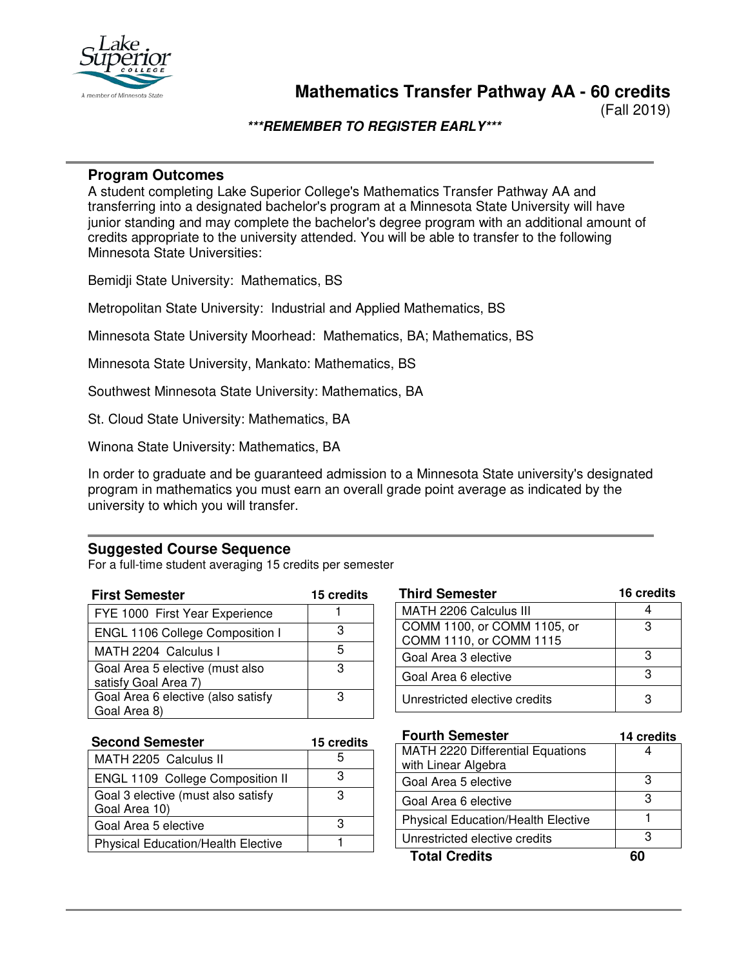

(Fall 2019)

### **\*\*\*REMEMBER TO REGISTER EARLY\*\*\***

#### **Program Outcomes**

A student completing Lake Superior College's Mathematics Transfer Pathway AA and transferring into a designated bachelor's program at a Minnesota State University will have junior standing and may complete the bachelor's degree program with an additional amount of credits appropriate to the university attended. You will be able to transfer to the following Minnesota State Universities:

Bemidji State University: Mathematics, BS

Metropolitan State University: Industrial and Applied Mathematics, BS

Minnesota State University Moorhead: Mathematics, BA; Mathematics, BS

Minnesota State University, Mankato: Mathematics, BS

Southwest Minnesota State University: Mathematics, BA

St. Cloud State University: Mathematics, BA

Winona State University: Mathematics, BA

In order to graduate and be guaranteed admission to a Minnesota State university's designated program in mathematics you must earn an overall grade point average as indicated by the university to which you will transfer.

#### **Suggested Course Sequence**

For a full-time student averaging 15 credits per semester

| <b>First Semester</b>                                   | 15 credits |
|---------------------------------------------------------|------------|
| FYE 1000 First Year Experience                          |            |
| ENGL 1106 College Composition I                         | з          |
| MATH 2204 Calculus I                                    | 5          |
| Goal Area 5 elective (must also<br>satisfy Goal Area 7) | з          |
| Goal Area 6 elective (also satisfy                      | з          |
| Goal Area 8)                                            |            |

| <b>Third Semester</b>         | 16 credits |
|-------------------------------|------------|
| MATH 2206 Calculus III        |            |
| COMM 1100, or COMM 1105, or   |            |
| COMM 1110, or COMM 1115       |            |
| Goal Area 3 elective          | ٩          |
| Goal Area 6 elective          |            |
| Unrestricted elective credits |            |

| <b>Second Semester</b>                              | 15 credits |  |
|-----------------------------------------------------|------------|--|
| MATH 2205 Calculus II                               |            |  |
| ENGL 1109 College Composition II                    | З          |  |
| Goal 3 elective (must also satisfy<br>Goal Area 10) |            |  |
| Goal Area 5 elective                                |            |  |
| <b>Physical Education/Health Elective</b>           |            |  |

| <b>Fourth Semester</b>                    | 14 credits |
|-------------------------------------------|------------|
| <b>MATH 2220 Differential Equations</b>   |            |
| with Linear Algebra                       |            |
| Goal Area 5 elective                      | З          |
| Goal Area 6 elective                      | З          |
| <b>Physical Education/Health Elective</b> |            |
| Unrestricted elective credits             | з          |
| <b>Total Credits</b>                      |            |